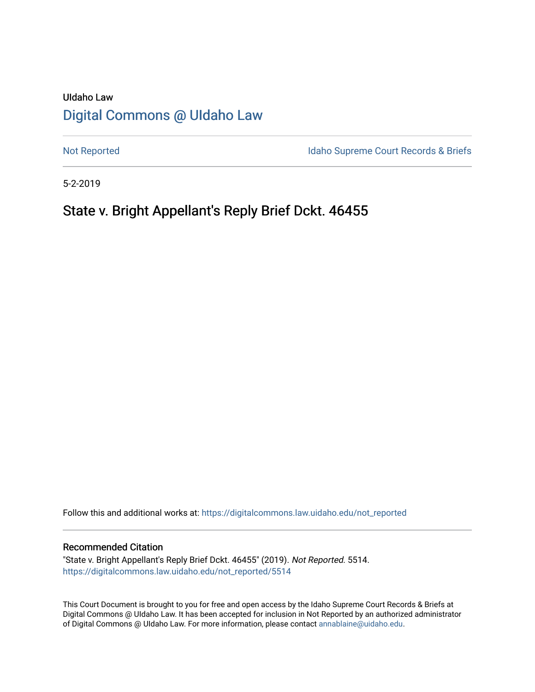# UIdaho Law [Digital Commons @ UIdaho Law](https://digitalcommons.law.uidaho.edu/)

[Not Reported](https://digitalcommons.law.uidaho.edu/not_reported) **Idaho Supreme Court Records & Briefs** 

5-2-2019

# State v. Bright Appellant's Reply Brief Dckt. 46455

Follow this and additional works at: [https://digitalcommons.law.uidaho.edu/not\\_reported](https://digitalcommons.law.uidaho.edu/not_reported?utm_source=digitalcommons.law.uidaho.edu%2Fnot_reported%2F5514&utm_medium=PDF&utm_campaign=PDFCoverPages) 

#### Recommended Citation

"State v. Bright Appellant's Reply Brief Dckt. 46455" (2019). Not Reported. 5514. [https://digitalcommons.law.uidaho.edu/not\\_reported/5514](https://digitalcommons.law.uidaho.edu/not_reported/5514?utm_source=digitalcommons.law.uidaho.edu%2Fnot_reported%2F5514&utm_medium=PDF&utm_campaign=PDFCoverPages)

This Court Document is brought to you for free and open access by the Idaho Supreme Court Records & Briefs at Digital Commons @ UIdaho Law. It has been accepted for inclusion in Not Reported by an authorized administrator of Digital Commons @ UIdaho Law. For more information, please contact [annablaine@uidaho.edu](mailto:annablaine@uidaho.edu).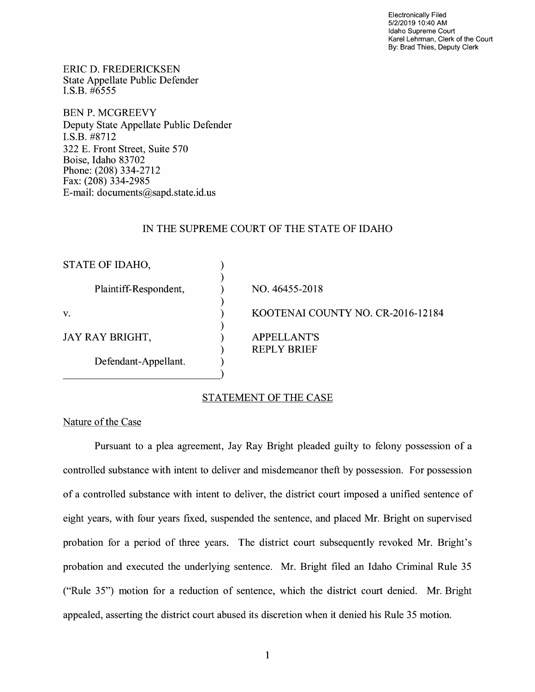Electronically Filed 5/2/2019 10:40 AM Idaho Supreme Court Karel Lehrman, Clerk of the Court By: Brad Thies, Deputy Clerk

ERIC D. FREDERICKSEN State Appellate Public Defender I.S.B. #6555

BEN P. MCGREEVY Deputy State Appellate Public Defender I.S.B. #8712 322 E. Front Street, Suite 570 Boise, Idaho 83702 Phone: (208) 334-2712 Fax: (208) 334-2985 E-mail: documents@sapd.state.id. us

## IN THE SUPREME COURT OF THE STATE OF IDAHO

| STATE OF IDAHO,       |                                          |  |
|-----------------------|------------------------------------------|--|
| Plaintiff-Respondent, | NO. 46455-2018                           |  |
| V.                    | KOOTENAI COUNTY NO. CR-2016-12184        |  |
| JAY RAY BRIGHT,       | <b>APPELLANT'S</b><br><b>REPLY BRIEF</b> |  |
| Defendant-Appellant.  |                                          |  |

## STATEMENT OF THE CASE

#### Nature of the Case

Pursuant to a plea agreement, Jay Ray Bright pleaded guilty to felony possession of a controlled substance with intent to deliver and misdemeanor theft by possession. For possession of a controlled substance with intent to deliver, the district court imposed a unified sentence of eight years, with four years fixed, suspended the sentence, and placed Mr. Bright on supervised probation for a period of three years. The district court subsequently revoked Mr. Bright's probation and executed the underlying sentence. Mr. Bright filed an Idaho Criminal Rule 35 ("Rule 35") motion for a reduction of sentence, which the district court denied. Mr. Bright appealed, asserting the district court abused its discretion when it denied his Rule 35 motion.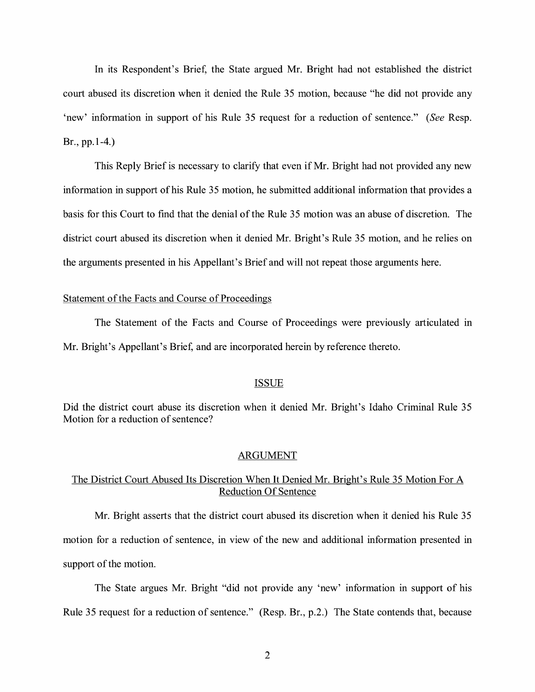In its Respondent's Brief, the State argued Mr. Bright had not established the district court abused its discretion when it denied the Rule 35 motion, because "he did not provide any 'new' information in support of his Rule 35 request for a reduction of sentence." *(See* Resp. Br., pp.1-4.)

This Reply Brief is necessary to clarify that even if Mr. Bright had not provided any new information in support of his Rule 35 motion, he submitted additional information that provides a basis for this Court to find that the denial of the Rule 35 motion was an abuse of discretion. The district court abused its discretion when it denied Mr. Bright's Rule 35 motion, and he relies on the arguments presented in his Appellant's Brief and will not repeat those arguments here.

## Statement of the Facts and Course of Proceedings

The Statement of the Facts and Course of Proceedings were previously articulated in Mr. Bright's Appellant's Brief, and are incorporated herein by reference thereto.

#### ISSUE

Did the district court abuse its discretion when it denied Mr. Bright's Idaho Criminal Rule 35 Motion for a reduction of sentence?

#### ARGUMENT

# The District Court Abused Its Discretion When It Denied Mr. Bright's Rule 35 Motion For A Reduction Of Sentence

Mr. Bright asserts that the district court abused its discretion when it denied his Rule 35 motion for a reduction of sentence, in view of the new and additional information presented in support of the motion.

The State argues Mr. Bright "did not provide any 'new' information in support of his Rule 35 request for a reduction of sentence." (Resp. Br., p.2.) The State contends that, because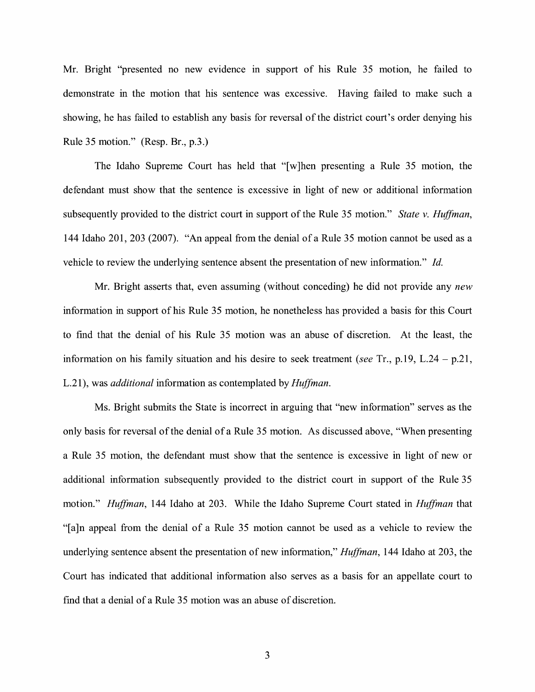Mr. Bright "presented no new evidence in support of his Rule 35 motion, he failed to demonstrate in the motion that his sentence was excessive. Having failed to make such a showing, he has failed to establish any basis for reversal of the district court's order denying his Rule 35 motion." (Resp. Br., p.3.)

The Idaho Supreme Court has held that "[w]hen presenting a Rule 35 motion, the defendant must show that the sentence is excessive in light of new or additional information subsequently provided to the district court in support of the Rule 35 motion." *State v. Huffman,*  144 Idaho 201,203 (2007). "An appeal from the denial of a Rule 35 motion cannot be used as a vehicle to review the underlying sentence absent the presentation of new information." *Id.* 

Mr. Bright asserts that, even assuming (without conceding) he did not provide any *new*  information in support of his Rule 35 motion, he nonetheless has provided a basis for this Court to find that the denial of his Rule 35 motion was an abuse of discretion. At the least, the information on his family situation and his desire to seek treatment ( *see* Tr., p.19, L.24 - p.21, L.21 ), was *additional* information as contemplated by *Huffman.* 

Ms. Bright submits the State is incorrect in arguing that "new information" serves as the only basis for reversal of the denial of a Rule 35 motion. As discussed above, "When presenting a Rule 35 motion, the defendant must show that the sentence is excessive in light of new or additional information subsequently provided to the district court in support of the Rule 35 motion." *Huffman,* 144 Idaho at 203. While the Idaho Supreme Court stated in *Huffman* that "[a]n appeal from the denial of a Rule 35 motion cannot be used as a vehicle to review the underlying sentence absent the presentation of new information," *Huffman,* 144 Idaho at 203, the Court has indicated that additional information also serves as a basis for an appellate court to find that a denial of a Rule 35 motion was an abuse of discretion.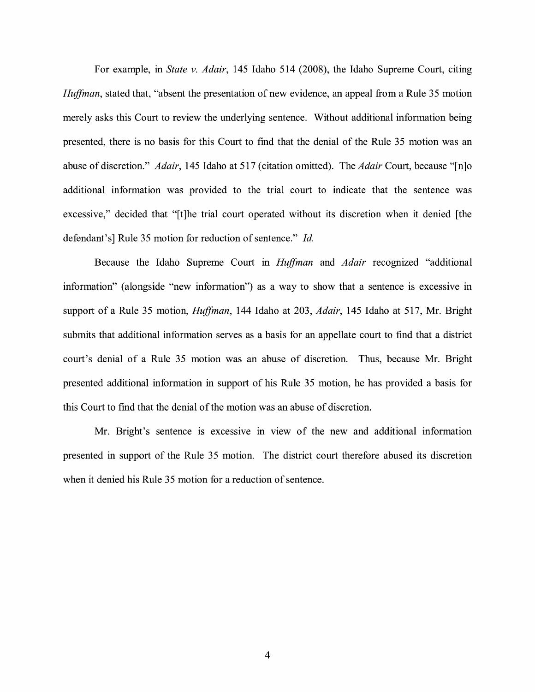For example, in *State v. Adair,* 145 Idaho 514 (2008), the Idaho Supreme Court, citing *Huffman,* stated that, "absent the presentation of new evidence, an appeal from a Rule 35 motion merely asks this Court to review the underlying sentence. Without additional information being presented, there is no basis for this Court to fmd that the denial of the Rule 35 motion was an abuse of discretion." *Adair,* 145 Idaho at 517 ( citation omitted). The *Adair* Court, because "[n]o additional information was provided to the trial court to indicate that the sentence was excessive," decided that "[t]he trial court operated without its discretion when it denied [the defendant's] Rule 35 motion for reduction of sentence." *Id.* 

Because the Idaho Supreme Court in *Huffman* and *Adair* recognized "additional information" ( alongside "new information") as a way to show that a sentence is excessive in support of a Rule 35 motion, *Huffman,* 144 Idaho at 203, *Adair,* 145 Idaho at 517, Mr. Bright submits that additional information serves as a basis for an appellate court to find that a district court's denial of a Rule 35 motion was an abuse of discretion. Thus, because Mr. Bright presented additional information in support of his Rule 35 motion, he has provided a basis for this Court to find that the denial of the motion was an abuse of discretion.

Mr. Bright's sentence is excessive in view of the new and additional information presented in support of the Rule 35 motion. The district court therefore abused its discretion when it denied his Rule 35 motion for a reduction of sentence.